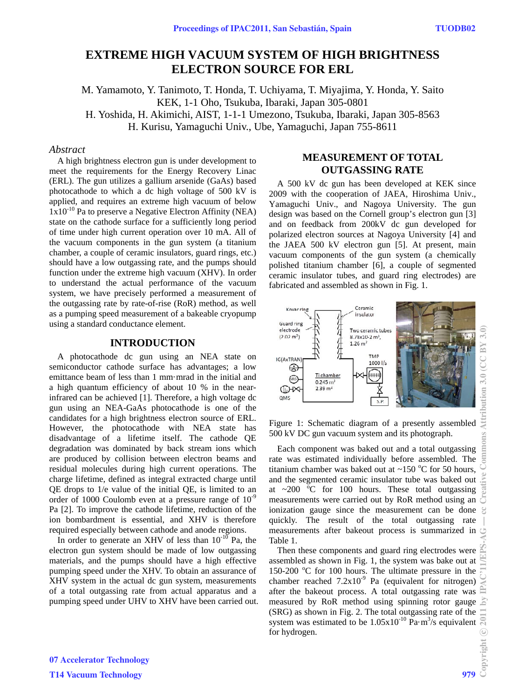# **EXTREME HIGH VACUUM SYSTEM OF HIGH BRIGHTNESS ELECTRON SOURCE FOR ERL**

M. Yamamoto, Y. Tanimoto, T. Honda, T. Uchiyama, T. Miyajima, Y. Honda, Y. Saito KEK, 1-1 Oho, Tsukuba, Ibaraki, Japan 305-0801 H. Yoshida, H. Akimichi, AIST, 1-1-1 Umezono, Tsukuba, Ibaraki, Japan 305-8563

H. Kurisu, Yamaguchi Univ., Ube, Yamaguchi, Japan 755-8611

### *Abstract*

A high brightness electron gun is under development to meet the requirements for the Energy Recovery Linac (ERL). The gun utilizes a gallium arsenide (GaAs) based photocathode to which a dc high voltage of 500 kV is applied, and requires an extreme high vacuum of below 1x10-10 Pa to preserve a Negative Electron Affinity (NEA) state on the cathode surface for a sufficiently long period of time under high current operation over 10 mA. All of the vacuum components in the gun system (a titanium chamber, a couple of ceramic insulators, guard rings, etc.) should have a low outgassing rate, and the pumps should function under the extreme high vacuum (XHV). In order to understand the actual performance of the vacuum system, we have precisely performed a measurement of the outgassing rate by rate-of-rise (RoR) method, as well as a pumping speed measurement of a bakeable cryopump using a standard conductance element.

### **INTRODUCTION**

A photocathode dc gun using an NEA state on semiconductor cathode surface has advantages; a low emittance beam of less than 1 mm·mrad in the initial and a high quantum efficiency of about 10 % in the nearinfrared can be achieved [1]. Therefore, a high voltage dc gun using an NEA-GaAs photocathode is one of the candidates for a high brightness electron source of ERL. However, the photocathode with NEA state has disadvantage of a lifetime itself. The cathode QE degradation was dominated by back stream ions which are produced by collision between electron beams and residual molecules during high current operations. The charge lifetime, defined as integral extracted charge until QE drops to 1/e value of the initial QE, is limited to an order of 1000 Coulomb even at a pressure range of  $10^{-9}$ Pa [2]. To improve the cathode lifetime, reduction of the ion bombardment is essential, and XHV is therefore required especially between cathode and anode regions.

In order to generate an XHV of less than  $10^{-10}$  Pa, the electron gun system should be made of low outgassing materials, and the pumps should have a high effective pumping speed under the XHV. To obtain an assurance of XHV system in the actual dc gun system, measurements of a total outgassing rate from actual apparatus and a pumping speed under UHV to XHV have been carried out.

### **MEASUREMENT OF TOTAL OUTGASSING RATE**

A 500 kV dc gun has been developed at KEK since 2009 with the cooperation of JAEA, Hiroshima Univ., Yamaguchi Univ., and Nagoya University. The gun design was based on the Cornell group's electron gun [3] and on feedback from 200kV dc gun developed for polarized electron sources at Nagoya University [4] and the JAEA 500 kV electron gun [5]. At present, main vacuum components of the gun system (a chemically polished titanium chamber [6], a couple of segmented ceramic insulator tubes, and guard ring electrodes) are fabricated and assembled as shown in Fig. 1.



Figure 1: Schematic diagram of a presently assembled 500 kV DC gun vacuum system and its photograph.

Each component was baked out and a total outgassing rate was estimated individually before assembled. The titanium chamber was baked out at  $\sim$ 150 °C for 50 hours, and the segmented ceramic insulator tube was baked out at  $\sim$  200  $\degree$ C for 100 hours. These total outgassing measurements were carried out by RoR method using an ionization gauge since the measurement can be done quickly. The result of the total outgassing rate measurements after bakeout process is summarized in Table 1.

Then these components and guard ring electrodes were assembled as shown in Fig. 1, the system was bake out at 150-200 °C for 100 hours. The ultimate pressure in the chamber reached  $7.2x10^{-9}$  Pa (equivalent for nitrogen) after the bakeout process. A total outgassing rate was measured by RoR method using spinning rotor gauge  $\geq$ (SRG) as shown in Fig. 2. The total outgassing rate of the system was estimated to be  $1.05x10^{-10}$  Pa·m<sup>3</sup>/s equivalent for hydrogen.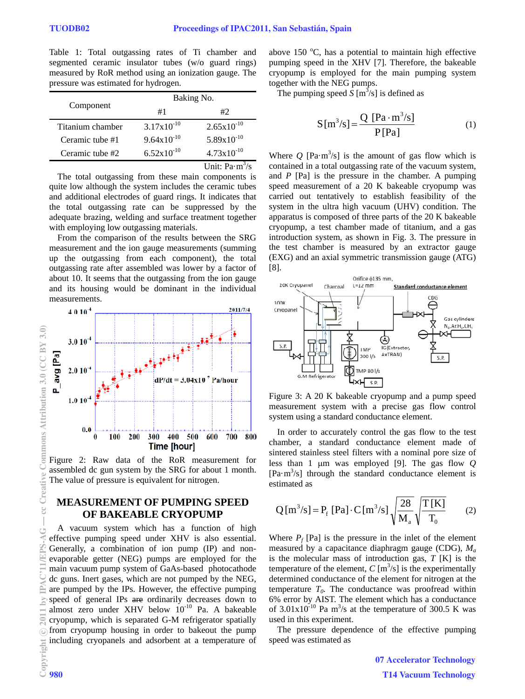Table 1: Total outgassing rates of Ti chamber and segmented ceramic insulator tubes (w/o guard rings) measured by RoR method using an ionization gauge. The pressure was estimated for hydrogen.

| Component        | Baking No.             |                        |
|------------------|------------------------|------------------------|
|                  | #1                     | #2                     |
| Titanium chamber | $3.17x10^{-10}$        | $2.65 \times 10^{-10}$ |
| Ceramic tube #1  | $9.64 \times 10^{-10}$ | $5.89x10^{-10}$        |
| Ceramic tube #2  | $6.52 \times 10^{-10}$ | $4.73 \times 10^{-10}$ |
|                  |                        | Unit: $Pa·m3/s$        |

The total outgassing from these main components is quite low although the system includes the ceramic tubes and additional electrodes of guard rings. It indicates that the total outgassing rate can be suppressed by the adequate brazing, welding and surface treatment together with employing low outgassing materials.

From the comparison of the results between the SRG measurement and the ion gauge measurements (summing up the outgassing from each component), the total outgassing rate after assembled was lower by a factor of about 10. It seems that the outgassing from the ion gauge and its housing would be dominant in the individual measurements.



Figure 2: Raw data of the RoR measurement for assembled dc gun system by the SRG for about 1 month. The value of pressure is equivalent for nitrogen.

## **MEASUREMENT OF PUMPING SPEED OF BAKEABLE CRYOPUMP**

A vacuum system which has a function of high effective pumping speed under XHV is also essential. Generally, a combination of ion pump (IP) and nonevaporable getter (NEG) pumps are employed for the main vacuum pump system of GaAs-based photocathode dc guns. Inert gases, which are not pumped by the NEG, are pumped by the IPs. However, the effective pumping speed of general IPs are ordinarily decreases down to almost zero under XHV below  $10^{-10}$  Pa. A bakeable cryopump, which is separated G-M refrigerator spatially from cryopump housing in order to bakeout the pump including cryopanels and adsorbent at a temperature of

above 150  $^{\circ}$ C, has a potential to maintain high effective pumping speed in the XHV [7]. Therefore, the bakeable cryopump is employed for the main pumping system together with the NEG pumps.

The pumping speed  $S$   $[m^3/s]$  is defined as

$$
S[m3/s] = \frac{Q [Pa \cdot m3/s]}{P [Pa]}
$$
 (1)

Where  $Q$  [Pa·m<sup>3</sup>/s] is the amount of gas flow which is contained in a total outgassing rate of the vacuum system, and *P* [Pa] is the pressure in the chamber. A pumping speed measurement of a 20 K bakeable cryopump was carried out tentatively to establish feasibility of the system in the ultra high vacuum (UHV) condition. The apparatus is composed of three parts of the 20 K bakeable cryopump, a test chamber made of titanium, and a gas introduction system, as shown in Fig. 3. The pressure in the test chamber is measured by an extractor gauge (EXG) and an axial symmetric transmission gauge (ATG) [8].



Figure 3: A 20 K bakeable cryopump and a pump speed measurement system with a precise gas flow control system using a standard conductance element.

In order to accurately control the gas flow to the test chamber, a standard conductance element made of sintered stainless steel filters with a nominal pore size of less than 1  $\mu$ m was employed [9]. The gas flow  $Q$  $[Pa·m<sup>3</sup>/s]$  through the standard conductance element is estimated as

$$
Q[m^{3}/s] = P_{f}[Pa] \cdot C[m^{3}/s] \sqrt{\frac{28}{M_{a}}} \sqrt{\frac{T[K]}{T_{0}}}
$$
 (2)

Where  $P_f$  [Pa] is the pressure in the inlet of the element measured by a capacitance diaphragm gauge (CDG), *Ma* is the molecular mass of introduction gas, *T* [K] is the temperature of the element,  $C \left[ \text{m}^3/\text{s} \right]$  is the experimentally determined conductance of the element for nitrogen at the temperature  $T_0$ . The conductance was proofread within 6% error by AIST. The element which has a conductance of  $3.01 \times 10^{-10}$  Pa m<sup>3</sup>/s at the temperature of 300.5 K was used in this experiment.

The pressure dependence of the effective pumping speed was estimated as

> 07 Accelerator Technology T14 Vacuum Technology